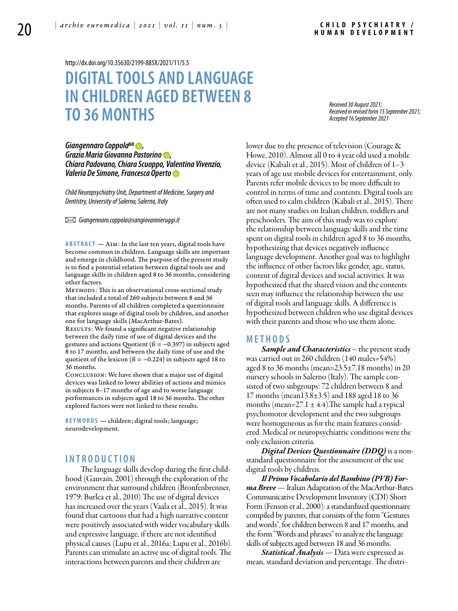http://dx.doi.org/10.35630/2199-885X/2021/11/5.5

# **DIGITALTOOLS AND LANGUAGE IN CHILDREN AGED BETWEEN 8 TO 36 MONTHS**

*[Giangennaro Coppola](https://orcid.org/0000-0002-9574-0081)*<sup>∞</sup> **D**, *[Grazia Maria Giovanna Pastorino](https://orcid.org/0000-0003-0404-5495)* **D**, *Chiara Padovano, Chiara Scuoppo, Valentina Vivenzio, Valeria De Simone, [Francesca Operto](https://orcid.org/0000-0002-2444-8761)*

*Child Neuropsychiatry Unit, Department of Medicine, Surgery and Dentistry, University of Salerno, Salerno, Italy*

 *Giangennaro.coppola@sangiovannieruggi.it* 

**ABSTRACT** — AIM: In the last ten years, digital tools have become common in children. Language skills are important and emerge in childhood. The purpose of the present study is to find a potential relation between digital tools use and language skills in children aged 8 to 36 months, considering other factors.

METHODS: This is an observational cross-sectional study that included a total of 260 subjects between 8 and 36 months. Parents of all children completed a questionnaire that explores usage of digital tools by children, and another one for language skills (MacArthur-Bates).

RESULTS: We found a significant negative relationship between the daily time of use of digital devices and the gestures and actions Quotient ( $\beta = -0.397$ ) in subjects aged 8 to 17 months, and between the daily time of use and the quotient of the lexicon ( $\beta = -0.224$ ) in subjects aged 18 to 36 months.

CONCLUSION: We have shown that a major use of digital devices was linked to lower abilities of actions and mimics in subjects 8–17 months of age and to worse language performances in subjects aged 18 to 36 months. The other explored factors were not linked to these results.

KEYWORDS - children; digital tools; language; neurodevelopment.

## **I n t r o d uct i o n**

The language skills develop during the first childhood (Gauvain, 2001) through the exploration of the environment that surround children (Bronfenbrenner, 1979; Burlea et al., 2010) The use of digital devices has increased over the years (Vaala et al., 2015). It was found that cartoons that had a high narrative content were positively associated with wider vocabulary skills and expressive language, if there are not identified physical causes (Lupu et al., 2016a; Lupu et al., 2016b). Parents can stimulate an active use of digital tools. The interactions between parents and their children are

*Received 30 August 2021; Received in revised form 15 September 2021; Accepted 16 September 2021*

lower due to the presence of television (Courage & Howe, 2010). Almost all 0 to 4 year old used a mobile device (Kabali et al., 2015). Most of children of 1–3 years of age use mobile devices for entertainment, only. Parents refer mobile devices to be more difficult to control in terms of time and contents. Digital tools are often used to calm children (Kabali et al., 2015). There are not many studies on Italian children, toddlers and preschoolers. The aim of this study was to explore the relationship between language skills and the time spent on digital tools in children aged 8 to 36 months, hypothesizing that devices negatively influence language development. Another goal was to highlight the influence of other factors like gender, age, status, content of digital devices and social activities. It was hypothesized that the shared vision and the contents seen may influence the relationship between the use of digital tools and language skills. A difference is hypothesized between children who use digital devices with their parents and those who use them alone.

#### **MET H ODS**

*Sample and Characteristics* – the present study was carried out in 260 children (140 males=54%) aged 8 to 36 months (mean=23.5±7.18 months) in 20 nursery schools in Salerno (Italy). The sample consisted of two subgroups: 72 children between 8 and 17 months (mean13.8±3.5) and 188 aged 18 to 36 months (mean= $27.1 \pm 4.4$ ). The sample had a typical psychomotor development and the two subgroups were homogeneous as for the main features considered. Medical or neuropsychiatric conditions were the only exclusion criteria.

*Digital Devices Questionnaire (DDQ)* is a nonstandard questionnaire for the assessment of the use digital tools by children.

*Il Primo Vocabolario del Bambino (PVB) Forma Breve* — Italian Adaptation of the MacArthur-Bates Communicative Development Inventory (CDI) Short Form (Fenson et al., 2000): a standardized questionnaire compiled by parents, that consists of the form "Gestures and words", for children between 8 and 17 months, and the form "Words and phrases" to analyze the language skills of subjects aged between 18 and 36 months.

*Statistical Analysis* — Data were expressed as mean, standard deviation and percentage. The distri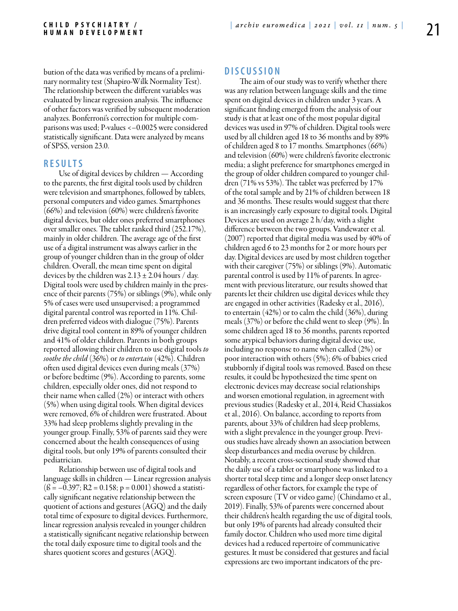bution of the data was verified by means of a preliminary normality test (Shapiro-Wilk Normality Test). The relationship between the different variables was evaluated by linear regression analysis. The influence of other factors was verified by subsequent moderation analyzes. Bonferroni's correction for multiple comparisons was used; P-values <–0.0025 were considered statistically significant. Data were analyzed by means of SPSS, version 23.0.

#### **RES U LTS**

Use of digital devices by children — According to the parents, the first digital tools used by children were television and smartphones, followed by tablets, personal computers and video games. Smartphones (66%) and television (60%) were children's favorite digital devices, but older ones preferred smartphones over smaller ones. The tablet ranked third (252.17%), mainly in older children. The average age of the first use of a digital instrument was always earlier in the group of younger children than in the group of older children. Overall, the mean time spent on digital devices by the children was  $2.13 \pm 2.04$  hours / day. Digital tools were used by children mainly in the presence of their parents (75%) or siblings (9%), while only 5% of cases were used unsupervised; a programmed digital parental control was reported in 11%. Children preferred videos with dialogue (75%). Parents drive digital tool content in 89% of younger children and 41% of older children. Parents in both groups reported allowing their children to use digital tools *to soothe the child* (36%) or *to entertain* (42%). Children often used digital devices even during meals (37%) or before bedtime (9%). According to parents, some children, especially older ones, did not respond to their name when called (2%) or interact with others (5%) when using digital tools. When digital devices were removed, 6% of children were frustrated. About 33% had sleep problems slightly prevaling in the younger group. Finally, 53% of parents said they were concerned about the health consequences of using digital tools, but only 19% of parents consulted their pediatrician.

Relationship between use of digital tools and language skills in children — Linear regression analysis  $(S = -0.397; R2 = 0.158; p = 0.001)$  showed a statistically significant negative relationship between the quotient of actions and gestures (AGQ) and the daily total time of exposure to digital devices. Furthermore, linear regression analysis revealed in younger children a statistically significant negative relationship between the total daily exposure time to digital tools and the shares quotient scores and gestures (AGQ).

#### **DISC U SSION**

The aim of our study was to verify whether there was any relation between language skills and the time spent on digital devices in children under 3 years. A significant finding emerged from the analysis of our study is that at least one of the most popular digital devices was used in 97% of children. Digital tools were used by all children aged 18 to 36 months and by 89% of children aged 8 to 17 months. Smartphones (66%) and television (60%) were children's favorite electronic media; a slight preference for smartphones emerged in the group of older children compared to younger children (71% vs 53%). The tablet was preferred by 17% of the total sample and by 21% of children between 18 and 36 months. These results would suggest that there is an increasingly early exposure to digital tools. Digital Devices are used on average 2 h/day, with a slight difference between the two groups. Vandewater et al. (2007) reported that digital media was used by 40% of children aged 6 to 23 months for 2 or more hours per day. Digital devices are used by most children together with their caregiver (75%) or siblings (9%). Automatic parental control is used by 11% of parents. In agreement with previous literature, our results showed that parents let their children use digital devices while they are engaged in other activities (Radesky et al., 2016), to entertain (42%) or to calm the child (36%), during meals (37%) or before the child went to sleep (9%). In some children aged 18 to 36 months, parents reported some atypical behaviors during digital device use, including no response to name when called (2%) or poor interaction with others (5%); 6% of babies cried stubbornly if digital tools was removed. Based on these results, it could be hypothesized the time spent on electronic devices may decrease social relationships and worsen emotional regulation, in agreement with previous studies (Radesky et al., 2014, Reid Chassiakos et al., 2016). On balance, according to reports from parents, about 33% of children had sleep problems, with a slight prevalence in the younger group. Previous studies have already shown an association between sleep disturbances and media overuse by children. Notably, a recent cross-sectional study showed that the daily use of a tablet or smartphone was linked to a shorter total sleep time and a longer sleep onset latency regardless of other factors, for example the type of screen exposure (TV or video game) (Chindamo et al., 2019). Finally, 53% of parents were concerned about their children's health regarding the use of digital tools, but only 19% of parents had already consulted their family doctor. Children who used more time digital devices had a reduced repertoire of communicative gestures. It must be considered that gestures and facial expressions are two important indicators of the pre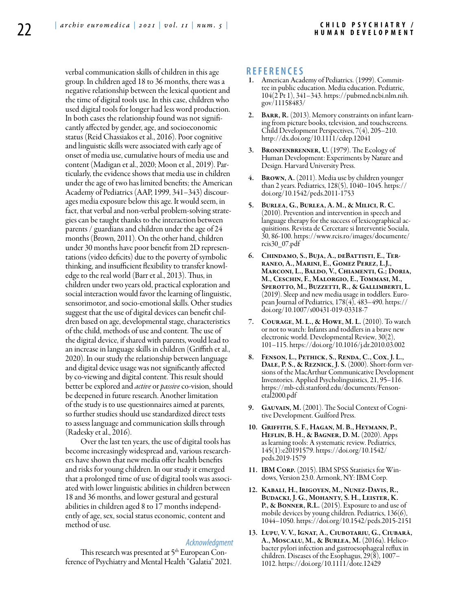verbal communication skills of children in this age group. In children aged 18 to 36 months, there was a negative relationship between the lexical quotient and the time of digital tools use. In this case, children who used digital tools for longer had less word production. In both cases the relationship found was not significantly affected by gender, age, and socioeconomic status (Reid Chassiakos et al., 2016). Poor cognitive and linguistic skills were associated with early age of onset of media use, cumulative hours of media use and content (Madigan et al., 2020; Moon et al., 2019). Particularly, the evidence shows that media use in children under the age of two has limited benefits; the American Academy of Pediatrics (AAP, 1999, 341–343) discourages media exposure below this age. It would seem, in fact, that verbal and non-verbal problem-solving strategies can be taught thanks to the interaction between parents / guardians and children under the age of 24 months (Brown, 2011). On the other hand, children under 30 months have poor benefit from 2D representations (video deficits) due to the poverty of symbolic thinking, and insufficient flexibility to transfer knowledge to the real world (Barr et al., 2013). Thus, in children under two years old, practical exploration and social interaction would favor the learning of linguistic, sensorimotor, and socio-emotional skills. Other studies suggest that the use of digital devices can benefit children based on age, developmental stage, characteristics of the child, methods of use and content. The use of the digital device, if shared with parents, would lead to an increase in language skills in children (Griffith et al., 2020). In our study the relationship between language and digital device usage was not significantly affected by co-viewing and digital content. This result should better be explored and *active* or *passive* co-vision, should be deepened in future research. Another limitation of the study is to use questionnaires aimed at parents, so further studies should use standardized direct tests to assess language and communication skills through (Radesky et al., 2016).

Over the last ten years, the use of digital tools has become increasingly widespread and, various researchers have shown that new media offer health benefits and risks for young children. In our study it emerged that a prolonged time of use of digital tools was associated with lower linguistic abilities in children between 18 and 36 months, and lower gestural and gestural abilities in children aged 8 to 17 months independently of age, sex, social status economic, content and method of use.

#### *Acknowledgment*

This research was presented at 5<sup>th</sup> European Conference of Psychiatry and Mental Health "Galatia" 2021.

### **REFEREN CES**

- 1. American Academy of Pediatrics. (1999). Committee in public education. Media education. Pediatric, 104(2 Pt 1), 341–343. https://pubmed.ncbi.nlm.nih. gov/11158483/
- BARR, R. (2013). Memory constraints on infant learning from picture books, television, and touchscreens. Child Development Perspectives, 7(4), 205–210. http://dx.doi.org/10.1111/cdep.12041
- BRONFENBRENNER, U. (1979). The Ecology of Human Development: Experiments by Nature and Design. Harvard University Press.
- BROWN, A. (2011). Media use by children younger than 2 years. Pediatrics, 128(5), 1040–1045. https:// doi.org/10.1542/peds.2011-1753
- 5. Burlea, G., Burlea, A. M., & Milici, R. C. (2010). Prevention and intervention in speech and language therapy for the success of lexicographical ac- quisitions. Revista de Cercetare si Interventie Sociala, 30, 86-100. https://www.rcis.ro/images/documente/ rcis30\_07.pdf
- 6. Chindamo, S., Buja, A., deBattisti, E., Terraneo, A., Marini, E., Gomez Perez, L.J., Marconi, L., Baldo, V., Chiamenti, G.; Doria, M., Ceschin, F., Malorgio, E., Tommasi, M., Sperotto, M., Buzzetti, R., & Gallimberti, L. (2019). Sleep and new media usage in toddlers. European Journal of Pediatrics, 178(4), 483–490. https:// doi.org/10.1007/s00431-019-03318-7
- 7. Courage, M. L., & Howe, M. L. (2010). To watch or not to watch: Infants and toddlers in a brave new electronic world. Developmental Review, 30(2), 101–115. https://doi.org/10.1016/j.dr.2010.03.002
- 8. Fenson, L., Pethick, S., Renda, C., Cox, J. L., DALE, P. S., & REZNICK, J. S. (2000). Short-form ver-<br>sions of the MacArthur Communicative Development Inventories. Applied Psycholinguistics, 21, 95–116. https://mb-cdi.stanford.edu/documents/Fenson- etal2000.pdf
- GAUVAIN, M. (2001). The Social Context of Cognitive Development. Guilford Press.
- 10. Griffith, S. F., Hagan, M. B., Heymann, P., Heflin, B. H., & Bagner, D. M. (2020). Apps as learning tools: A systematic review. Pediatrics, 145(1):e20191579. https://doi.org/10.1542/ peds.2019-1579
- 11. IBM Corp. (2015). IBM SPSS Statistics for Windows, Version 23.0. Armonk, NY: IBM Corp.
- 12. Kabali, H., Irigoyen, M., Nunez-Davis, R., Budacki, J. G., Mohanty, S. H., Leister, K. P., & Bonner, R.L. (2015). Exposure to and use of mobile devices by young children. Pediatrics, 136(6), 1044–1050. https://doi.org/10.1542/peds.2015-2151
- 13. Lupu, V. V., Ignat, A., Ciubotariu, G., Ciubară, A., Moscalu, M., & Burlea, M. (2016a). Helicobacter pylori infection and gastroesophageal reflux in children. Diseases of the Esophagus,  $29(\overline{8})$ , 1007– 1012. https://doi.org/10.1111/dote.12429